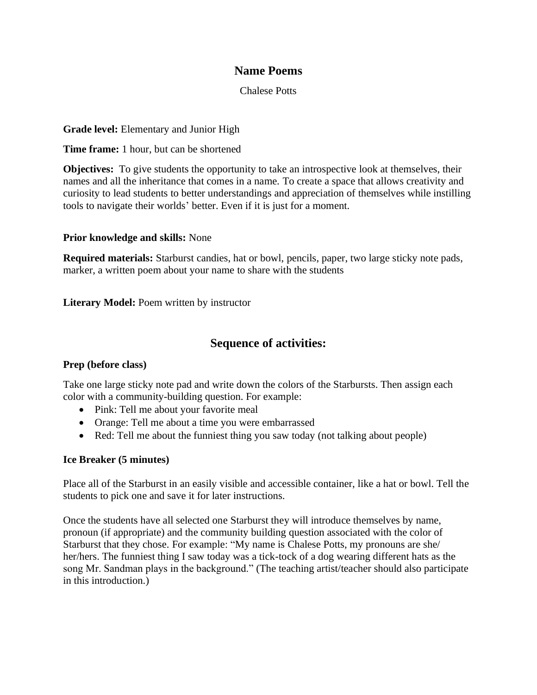# **Name Poems**

#### Chalese Potts

### **Grade level:** Elementary and Junior High

**Time frame:** 1 hour, but can be shortened

**Objectives:** To give students the opportunity to take an introspective look at themselves, their names and all the inheritance that comes in a name. To create a space that allows creativity and curiosity to lead students to better understandings and appreciation of themselves while instilling tools to navigate their worlds' better. Even if it is just for a moment.

#### **Prior knowledge and skills:** None

**Required materials:** Starburst candies, hat or bowl, pencils, paper, two large sticky note pads, marker, a written poem about your name to share with the students

**Literary Model:** Poem written by instructor

# **Sequence of activities:**

## **Prep (before class)**

Take one large sticky note pad and write down the colors of the Starbursts. Then assign each color with a community-building question. For example:

- Pink: Tell me about your favorite meal
- Orange: Tell me about a time you were embarrassed
- Red: Tell me about the funniest thing you saw today (not talking about people)

#### **Ice Breaker (5 minutes)**

Place all of the Starburst in an easily visible and accessible container, like a hat or bowl. Tell the students to pick one and save it for later instructions.

Once the students have all selected one Starburst they will introduce themselves by name, pronoun (if appropriate) and the community building question associated with the color of Starburst that they chose. For example: "My name is Chalese Potts, my pronouns are she/ her/hers. The funniest thing I saw today was a tick-tock of a dog wearing different hats as the song Mr. Sandman plays in the background." (The teaching artist/teacher should also participate in this introduction.)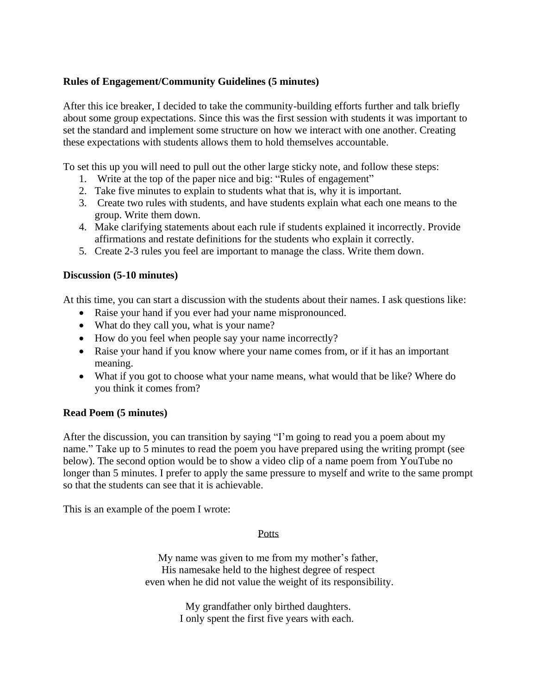## **Rules of Engagement/Community Guidelines (5 minutes)**

After this ice breaker, I decided to take the community-building efforts further and talk briefly about some group expectations. Since this was the first session with students it was important to set the standard and implement some structure on how we interact with one another. Creating these expectations with students allows them to hold themselves accountable.

To set this up you will need to pull out the other large sticky note, and follow these steps:

- 1. Write at the top of the paper nice and big: "Rules of engagement"
- 2. Take five minutes to explain to students what that is, why it is important.
- 3. Create two rules with students, and have students explain what each one means to the group. Write them down.
- 4. Make clarifying statements about each rule if students explained it incorrectly. Provide affirmations and restate definitions for the students who explain it correctly.
- 5. Create 2-3 rules you feel are important to manage the class. Write them down.

#### **Discussion (5-10 minutes)**

At this time, you can start a discussion with the students about their names. I ask questions like:

- Raise your hand if you ever had your name mispronounced.
- What do they call you, what is your name?
- How do you feel when people say your name incorrectly?
- Raise your hand if you know where your name comes from, or if it has an important meaning.
- What if you got to choose what your name means, what would that be like? Where do you think it comes from?

## **Read Poem (5 minutes)**

After the discussion, you can transition by saying "I'm going to read you a poem about my name." Take up to 5 minutes to read the poem you have prepared using the writing prompt (see below). The second option would be to show a video clip of a name poem from YouTube no longer than 5 minutes. I prefer to apply the same pressure to myself and write to the same prompt so that the students can see that it is achievable.

This is an example of the poem I wrote:

#### **Potts**

My name was given to me from my mother's father, His namesake held to the highest degree of respect even when he did not value the weight of its responsibility.

> My grandfather only birthed daughters. I only spent the first five years with each.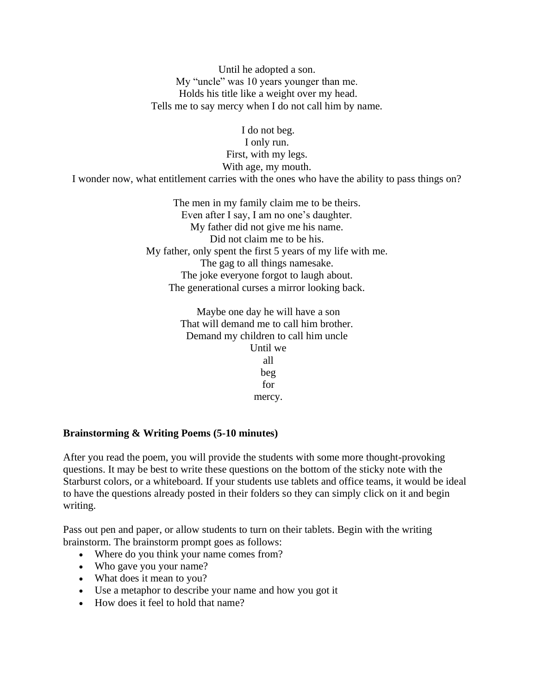Until he adopted a son. My "uncle" was 10 years younger than me. Holds his title like a weight over my head. Tells me to say mercy when I do not call him by name.

I do not beg. I only run. First, with my legs. With age, my mouth.

I wonder now, what entitlement carries with the ones who have the ability to pass things on?

The men in my family claim me to be theirs. Even after I say, I am no one's daughter. My father did not give me his name. Did not claim me to be his. My father, only spent the first 5 years of my life with me. The gag to all things namesake. The joke everyone forgot to laugh about. The generational curses a mirror looking back.

> Maybe one day he will have a son That will demand me to call him brother. Demand my children to call him uncle Until we all beg for mercy.

#### **Brainstorming & Writing Poems (5-10 minutes)**

After you read the poem, you will provide the students with some more thought-provoking questions. It may be best to write these questions on the bottom of the sticky note with the Starburst colors, or a whiteboard. If your students use tablets and office teams, it would be ideal to have the questions already posted in their folders so they can simply click on it and begin writing.

Pass out pen and paper, or allow students to turn on their tablets. Begin with the writing brainstorm. The brainstorm prompt goes as follows:

- Where do you think your name comes from?
- Who gave you your name?
- What does it mean to you?
- Use a metaphor to describe your name and how you got it
- How does it feel to hold that name?